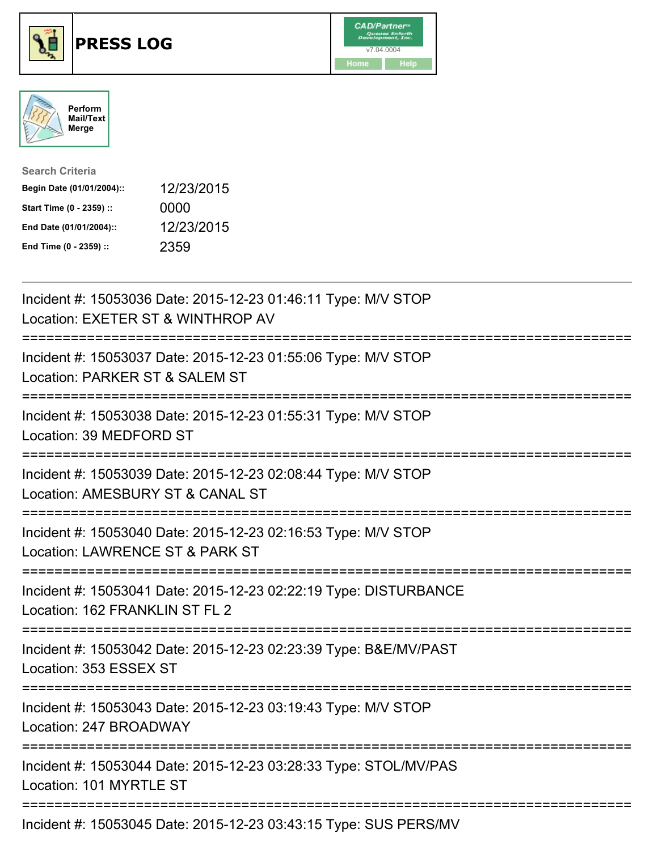





| <b>Search Criteria</b>    |            |
|---------------------------|------------|
| Begin Date (01/01/2004):: | 12/23/2015 |
| Start Time (0 - 2359) ::  | 0000       |
| End Date (01/01/2004)::   | 12/23/2015 |
| End Time (0 - 2359) ::    | 2359       |

| Incident #: 15053036 Date: 2015-12-23 01:46:11 Type: M/V STOP<br>Location: EXETER ST & WINTHROP AV                                              |
|-------------------------------------------------------------------------------------------------------------------------------------------------|
| Incident #: 15053037 Date: 2015-12-23 01:55:06 Type: M/V STOP<br>Location: PARKER ST & SALEM ST<br>------------                                 |
| Incident #: 15053038 Date: 2015-12-23 01:55:31 Type: M/V STOP<br>Location: 39 MEDFORD ST<br>===============                                     |
| Incident #: 15053039 Date: 2015-12-23 02:08:44 Type: M/V STOP<br>Location: AMESBURY ST & CANAL ST<br>============<br>:========================= |
| Incident #: 15053040 Date: 2015-12-23 02:16:53 Type: M/V STOP<br>Location: LAWRENCE ST & PARK ST<br>=========================<br>:============  |
| Incident #: 15053041 Date: 2015-12-23 02:22:19 Type: DISTURBANCE<br>Location: 162 FRANKLIN ST FL 2                                              |
| Incident #: 15053042 Date: 2015-12-23 02:23:39 Type: B&E/MV/PAST<br>Location: 353 ESSEX ST                                                      |
| Incident #: 15053043 Date: 2015-12-23 03:19:43 Type: M/V STOP<br>Location: 247 BROADWAY                                                         |
| Incident #: 15053044 Date: 2015-12-23 03:28:33 Type: STOL/MV/PAS<br>Location: 101 MYRTLE ST                                                     |
| Incident #: 15053045 Date: 2015-12-23 03:43:15 Type: SUS PERS/MV                                                                                |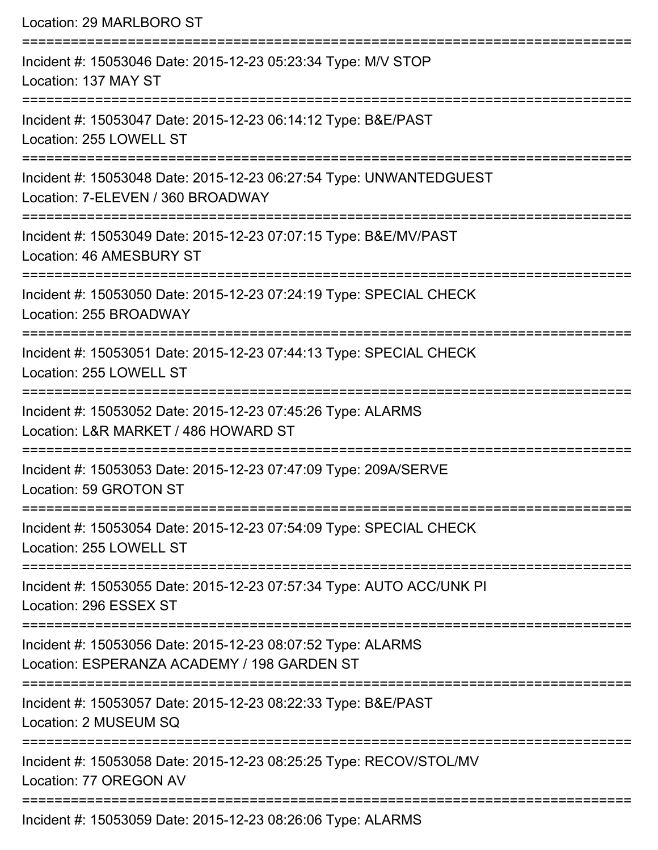| Location: 29 MARLBORO ST                                                                                                   |
|----------------------------------------------------------------------------------------------------------------------------|
| Incident #: 15053046 Date: 2015-12-23 05:23:34 Type: M/V STOP<br>Location: 137 MAY ST                                      |
| Incident #: 15053047 Date: 2015-12-23 06:14:12 Type: B&E/PAST<br>Location: 255 LOWELL ST                                   |
| Incident #: 15053048 Date: 2015-12-23 06:27:54 Type: UNWANTEDGUEST<br>Location: 7-ELEVEN / 360 BROADWAY                    |
| Incident #: 15053049 Date: 2015-12-23 07:07:15 Type: B&E/MV/PAST<br>Location: 46 AMESBURY ST                               |
| Incident #: 15053050 Date: 2015-12-23 07:24:19 Type: SPECIAL CHECK<br>Location: 255 BROADWAY                               |
| Incident #: 15053051 Date: 2015-12-23 07:44:13 Type: SPECIAL CHECK<br>Location: 255 LOWELL ST<br>-------------------       |
| Incident #: 15053052 Date: 2015-12-23 07:45:26 Type: ALARMS<br>Location: L&R MARKET / 486 HOWARD ST                        |
| Incident #: 15053053 Date: 2015-12-23 07:47:09 Type: 209A/SERVE<br>Location: 59 GROTON ST                                  |
| Incident #: 15053054 Date: 2015-12-23 07:54:09 Type: SPECIAL CHECK<br>Location: 255 LOWELL ST                              |
| Incident #: 15053055 Date: 2015-12-23 07:57:34 Type: AUTO ACC/UNK PI<br>Location: 296 ESSEX ST                             |
| ------------<br>Incident #: 15053056 Date: 2015-12-23 08:07:52 Type: ALARMS<br>Location: ESPERANZA ACADEMY / 198 GARDEN ST |
| Incident #: 15053057 Date: 2015-12-23 08:22:33 Type: B&E/PAST<br>Location: 2 MUSEUM SQ                                     |
| Incident #: 15053058 Date: 2015-12-23 08:25:25 Type: RECOV/STOL/MV<br>Location: 77 OREGON AV                               |
| Incident #: 15053059 Date: 2015-12-23 08:26:06 Type: ALARMS                                                                |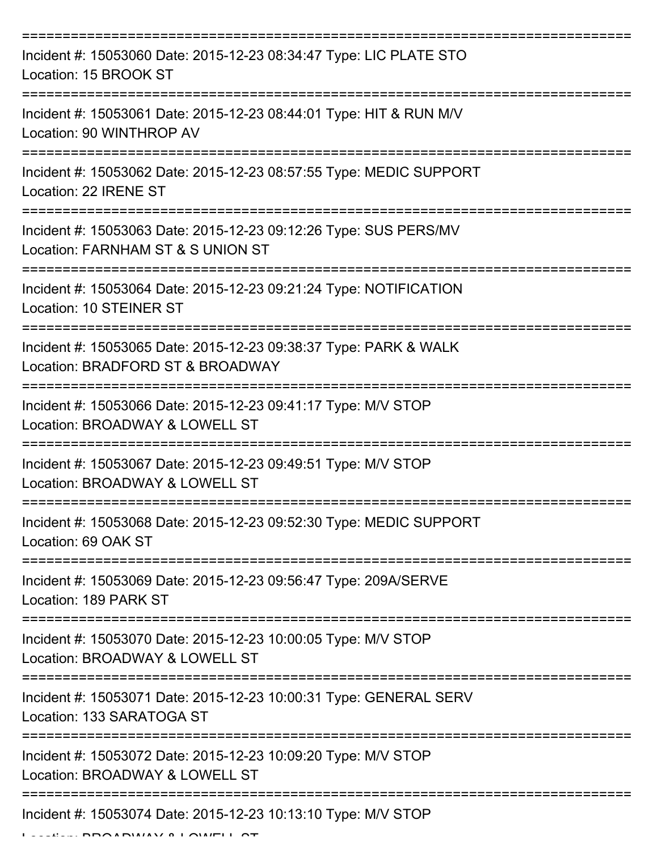| Incident #: 15053060 Date: 2015-12-23 08:34:47 Type: LIC PLATE STO<br>Location: 15 BROOK ST                                           |
|---------------------------------------------------------------------------------------------------------------------------------------|
| Incident #: 15053061 Date: 2015-12-23 08:44:01 Type: HIT & RUN M/V<br>Location: 90 WINTHROP AV                                        |
| Incident #: 15053062 Date: 2015-12-23 08:57:55 Type: MEDIC SUPPORT<br>Location: 22 IRENE ST                                           |
| Incident #: 15053063 Date: 2015-12-23 09:12:26 Type: SUS PERS/MV<br>Location: FARNHAM ST & S UNION ST                                 |
| Incident #: 15053064 Date: 2015-12-23 09:21:24 Type: NOTIFICATION<br><b>Location: 10 STEINER ST</b><br>============================== |
| Incident #: 15053065 Date: 2015-12-23 09:38:37 Type: PARK & WALK<br>Location: BRADFORD ST & BROADWAY                                  |
| Incident #: 15053066 Date: 2015-12-23 09:41:17 Type: M/V STOP<br>Location: BROADWAY & LOWELL ST                                       |
| Incident #: 15053067 Date: 2015-12-23 09:49:51 Type: M/V STOP<br>Location: BROADWAY & LOWELL ST                                       |
| Incident #: 15053068 Date: 2015-12-23 09:52:30 Type: MEDIC SUPPORT<br>Location: 69 OAK ST                                             |
| Incident #: 15053069 Date: 2015-12-23 09:56:47 Type: 209A/SERVE<br>Location: 189 PARK ST                                              |
| Incident #: 15053070 Date: 2015-12-23 10:00:05 Type: M/V STOP<br>Location: BROADWAY & LOWELL ST                                       |
| Incident #: 15053071 Date: 2015-12-23 10:00:31 Type: GENERAL SERV<br>Location: 133 SARATOGA ST                                        |
| Incident #: 15053072 Date: 2015-12-23 10:09:20 Type: M/V STOP<br>Location: BROADWAY & LOWELL ST                                       |
| Incident #: 15053074 Date: 2015-12-23 10:13:10 Type: M/V STOP                                                                         |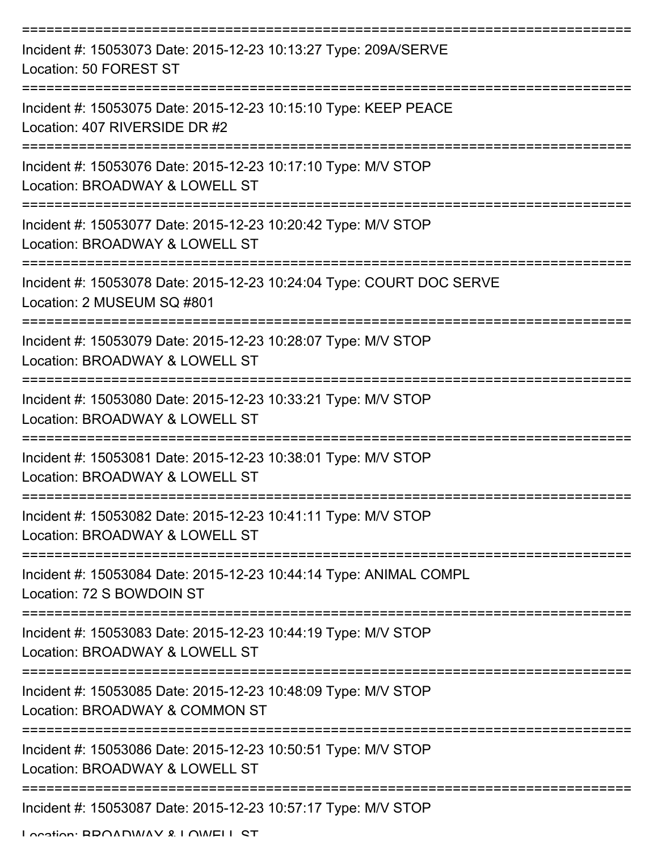| Incident #: 15053073 Date: 2015-12-23 10:13:27 Type: 209A/SERVE<br>Location: 50 FOREST ST                            |
|----------------------------------------------------------------------------------------------------------------------|
| Incident #: 15053075 Date: 2015-12-23 10:15:10 Type: KEEP PEACE<br>Location: 407 RIVERSIDE DR #2                     |
| Incident #: 15053076 Date: 2015-12-23 10:17:10 Type: M/V STOP<br>Location: BROADWAY & LOWELL ST                      |
| Incident #: 15053077 Date: 2015-12-23 10:20:42 Type: M/V STOP<br>Location: BROADWAY & LOWELL ST                      |
| Incident #: 15053078 Date: 2015-12-23 10:24:04 Type: COURT DOC SERVE<br>Location: 2 MUSEUM SQ #801                   |
| Incident #: 15053079 Date: 2015-12-23 10:28:07 Type: M/V STOP<br>Location: BROADWAY & LOWELL ST                      |
| :================<br>Incident #: 15053080 Date: 2015-12-23 10:33:21 Type: M/V STOP<br>Location: BROADWAY & LOWELL ST |
| Incident #: 15053081 Date: 2015-12-23 10:38:01 Type: M/V STOP<br>Location: BROADWAY & LOWELL ST                      |
| Incident #: 15053082 Date: 2015-12-23 10:41:11 Type: M/V STOP<br>Location: BROADWAY & LOWELL ST                      |
| Incident #: 15053084 Date: 2015-12-23 10:44:14 Type: ANIMAL COMPL<br>Location: 72 S BOWDOIN ST                       |
| Incident #: 15053083 Date: 2015-12-23 10:44:19 Type: M/V STOP<br>Location: BROADWAY & LOWELL ST                      |
| Incident #: 15053085 Date: 2015-12-23 10:48:09 Type: M/V STOP<br>Location: BROADWAY & COMMON ST                      |
| Incident #: 15053086 Date: 2015-12-23 10:50:51 Type: M/V STOP<br>Location: BROADWAY & LOWELL ST                      |
| Incident #: 15053087 Date: 2015-12-23 10:57:17 Type: M/V STOP                                                        |

Location: BROADWAY & LOWELL ST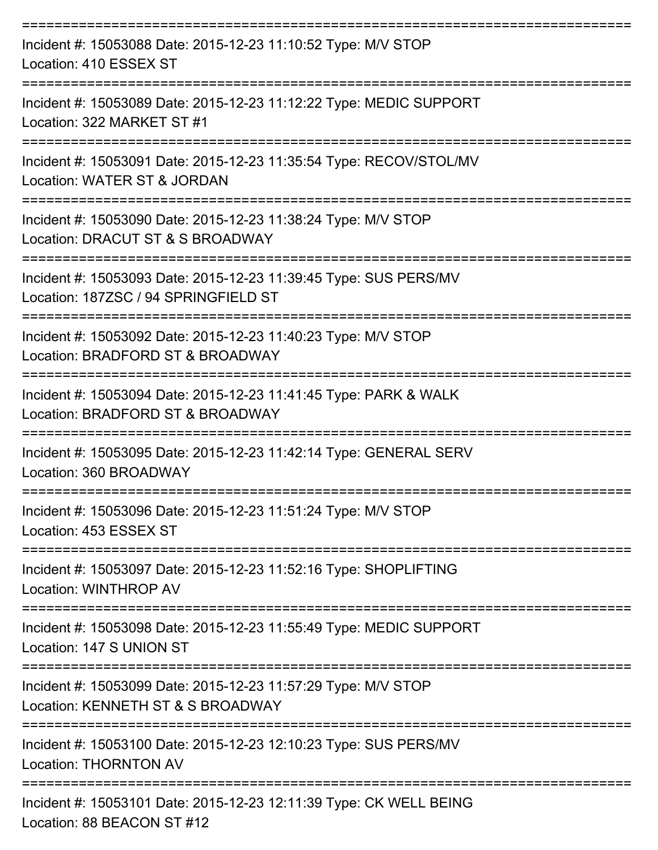| Incident #: 15053088 Date: 2015-12-23 11:10:52 Type: M/V STOP<br>Location: 410 ESSEX ST                                                                    |
|------------------------------------------------------------------------------------------------------------------------------------------------------------|
| Incident #: 15053089 Date: 2015-12-23 11:12:22 Type: MEDIC SUPPORT<br>Location: 322 MARKET ST #1                                                           |
| Incident #: 15053091 Date: 2015-12-23 11:35:54 Type: RECOV/STOL/MV<br>Location: WATER ST & JORDAN                                                          |
| Incident #: 15053090 Date: 2015-12-23 11:38:24 Type: M/V STOP<br>Location: DRACUT ST & S BROADWAY                                                          |
| Incident #: 15053093 Date: 2015-12-23 11:39:45 Type: SUS PERS/MV<br>Location: 187ZSC / 94 SPRINGFIELD ST                                                   |
| Incident #: 15053092 Date: 2015-12-23 11:40:23 Type: M/V STOP<br>Location: BRADFORD ST & BROADWAY                                                          |
| Incident #: 15053094 Date: 2015-12-23 11:41:45 Type: PARK & WALK<br>Location: BRADFORD ST & BROADWAY                                                       |
| Incident #: 15053095 Date: 2015-12-23 11:42:14 Type: GENERAL SERV<br>Location: 360 BROADWAY                                                                |
| Incident #: 15053096 Date: 2015-12-23 11:51:24 Type: M/V STOP<br>Location: 453 ESSEX ST                                                                    |
| :=====================<br>===================================<br>Incident #: 15053097 Date: 2015-12-23 11:52:16 Type: SHOPLIFTING<br>Location: WINTHROP AV |
| Incident #: 15053098 Date: 2015-12-23 11:55:49 Type: MEDIC SUPPORT<br>Location: 147 S UNION ST                                                             |
| Incident #: 15053099 Date: 2015-12-23 11:57:29 Type: M/V STOP<br>Location: KENNETH ST & S BROADWAY                                                         |
| Incident #: 15053100 Date: 2015-12-23 12:10:23 Type: SUS PERS/MV<br><b>Location: THORNTON AV</b>                                                           |
| Incident #: 15053101 Date: 2015-12-23 12:11:39 Type: CK WELL BEING<br>Location: 88 BEACON ST #12                                                           |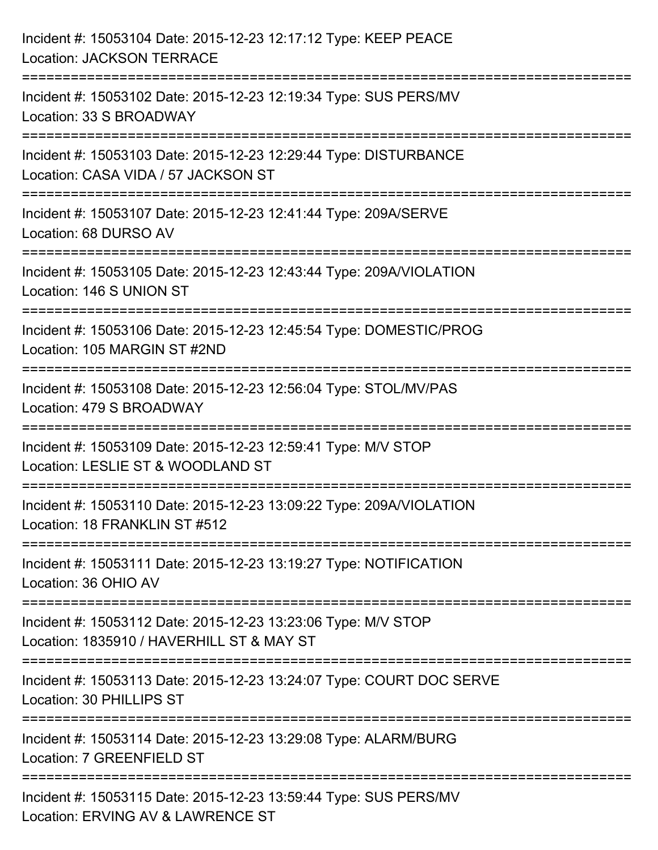| Incident #: 15053104 Date: 2015-12-23 12:17:12 Type: KEEP PEACE<br><b>Location: JACKSON TERRACE</b>                                             |
|-------------------------------------------------------------------------------------------------------------------------------------------------|
| Incident #: 15053102 Date: 2015-12-23 12:19:34 Type: SUS PERS/MV<br>Location: 33 S BROADWAY                                                     |
| :===================================<br>Incident #: 15053103 Date: 2015-12-23 12:29:44 Type: DISTURBANCE<br>Location: CASA VIDA / 57 JACKSON ST |
| Incident #: 15053107 Date: 2015-12-23 12:41:44 Type: 209A/SERVE<br>Location: 68 DURSO AV                                                        |
| Incident #: 15053105 Date: 2015-12-23 12:43:44 Type: 209A/VIOLATION<br>Location: 146 S UNION ST                                                 |
| Incident #: 15053106 Date: 2015-12-23 12:45:54 Type: DOMESTIC/PROG<br>Location: 105 MARGIN ST #2ND                                              |
| :===================<br>Incident #: 15053108 Date: 2015-12-23 12:56:04 Type: STOL/MV/PAS<br>Location: 479 S BROADWAY                            |
| Incident #: 15053109 Date: 2015-12-23 12:59:41 Type: M/V STOP<br>Location: LESLIE ST & WOODLAND ST                                              |
| Incident #: 15053110 Date: 2015-12-23 13:09:22 Type: 209A/VIOLATION<br>Location: 18 FRANKLIN ST #512                                            |
| Incident #: 15053111 Date: 2015-12-23 13:19:27 Type: NOTIFICATION<br>Location: 36 OHIO AV                                                       |
| Incident #: 15053112 Date: 2015-12-23 13:23:06 Type: M/V STOP<br>Location: 1835910 / HAVERHILL ST & MAY ST                                      |
| Incident #: 15053113 Date: 2015-12-23 13:24:07 Type: COURT DOC SERVE<br>Location: 30 PHILLIPS ST                                                |
| Incident #: 15053114 Date: 2015-12-23 13:29:08 Type: ALARM/BURG<br>Location: 7 GREENFIELD ST                                                    |
| Incident #: 15053115 Date: 2015-12-23 13:59:44 Type: SUS PERS/MV<br>Location: ERVING AV & LAWRENCE ST                                           |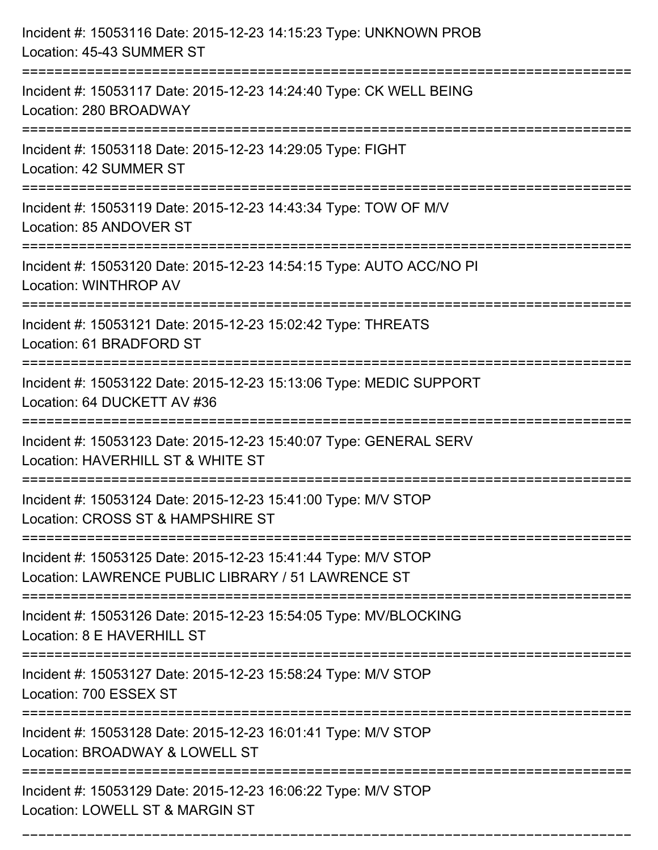| Incident #: 15053116 Date: 2015-12-23 14:15:23 Type: UNKNOWN PROB<br>Location: 45-43 SUMMER ST                                 |
|--------------------------------------------------------------------------------------------------------------------------------|
| Incident #: 15053117 Date: 2015-12-23 14:24:40 Type: CK WELL BEING<br>Location: 280 BROADWAY                                   |
| Incident #: 15053118 Date: 2015-12-23 14:29:05 Type: FIGHT<br>Location: 42 SUMMER ST                                           |
| Incident #: 15053119 Date: 2015-12-23 14:43:34 Type: TOW OF M/V<br>Location: 85 ANDOVER ST                                     |
| Incident #: 15053120 Date: 2015-12-23 14:54:15 Type: AUTO ACC/NO PI<br>Location: WINTHROP AV                                   |
| Incident #: 15053121 Date: 2015-12-23 15:02:42 Type: THREATS<br>Location: 61 BRADFORD ST                                       |
| Incident #: 15053122 Date: 2015-12-23 15:13:06 Type: MEDIC SUPPORT<br>Location: 64 DUCKETT AV #36<br>------------------------- |
| Incident #: 15053123 Date: 2015-12-23 15:40:07 Type: GENERAL SERV<br>Location: HAVERHILL ST & WHITE ST                         |
| Incident #: 15053124 Date: 2015-12-23 15:41:00 Type: M/V STOP<br>Location: CROSS ST & HAMPSHIRE ST                             |
| Incident #: 15053125 Date: 2015-12-23 15:41:44 Type: M/V STOP<br>Location: LAWRENCE PUBLIC LIBRARY / 51 LAWRENCE ST            |
| Incident #: 15053126 Date: 2015-12-23 15:54:05 Type: MV/BLOCKING<br>Location: 8 E HAVERHILL ST                                 |
| Incident #: 15053127 Date: 2015-12-23 15:58:24 Type: M/V STOP<br>Location: 700 ESSEX ST                                        |
| Incident #: 15053128 Date: 2015-12-23 16:01:41 Type: M/V STOP<br>Location: BROADWAY & LOWELL ST                                |
| Incident #: 15053129 Date: 2015-12-23 16:06:22 Type: M/V STOP<br>Location: LOWELL ST & MARGIN ST                               |

===========================================================================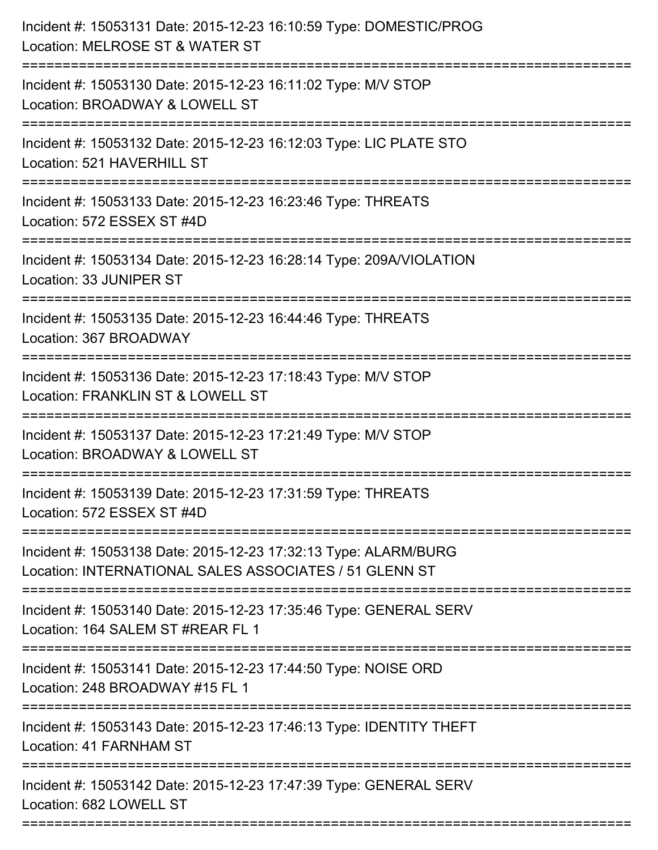| Incident #: 15053131 Date: 2015-12-23 16:10:59 Type: DOMESTIC/PROG<br>Location: MELROSE ST & WATER ST                     |
|---------------------------------------------------------------------------------------------------------------------------|
| Incident #: 15053130 Date: 2015-12-23 16:11:02 Type: M/V STOP<br>Location: BROADWAY & LOWELL ST                           |
| Incident #: 15053132 Date: 2015-12-23 16:12:03 Type: LIC PLATE STO<br>Location: 521 HAVERHILL ST                          |
| Incident #: 15053133 Date: 2015-12-23 16:23:46 Type: THREATS<br>Location: 572 ESSEX ST #4D                                |
| Incident #: 15053134 Date: 2015-12-23 16:28:14 Type: 209A/VIOLATION<br>Location: 33 JUNIPER ST                            |
| Incident #: 15053135 Date: 2015-12-23 16:44:46 Type: THREATS<br>Location: 367 BROADWAY                                    |
| Incident #: 15053136 Date: 2015-12-23 17:18:43 Type: M/V STOP<br>Location: FRANKLIN ST & LOWELL ST<br>=================   |
| Incident #: 15053137 Date: 2015-12-23 17:21:49 Type: M/V STOP<br>Location: BROADWAY & LOWELL ST                           |
| Incident #: 15053139 Date: 2015-12-23 17:31:59 Type: THREATS<br>Location: 572 ESSEX ST #4D                                |
| Incident #: 15053138 Date: 2015-12-23 17:32:13 Type: ALARM/BURG<br>Location: INTERNATIONAL SALES ASSOCIATES / 51 GLENN ST |
| Incident #: 15053140 Date: 2015-12-23 17:35:46 Type: GENERAL SERV<br>Location: 164 SALEM ST #REAR FL 1                    |
| Incident #: 15053141 Date: 2015-12-23 17:44:50 Type: NOISE ORD<br>Location: 248 BROADWAY #15 FL 1                         |
| Incident #: 15053143 Date: 2015-12-23 17:46:13 Type: IDENTITY THEFT<br>Location: 41 FARNHAM ST                            |
| Incident #: 15053142 Date: 2015-12-23 17:47:39 Type: GENERAL SERV<br>Location: 682 LOWELL ST                              |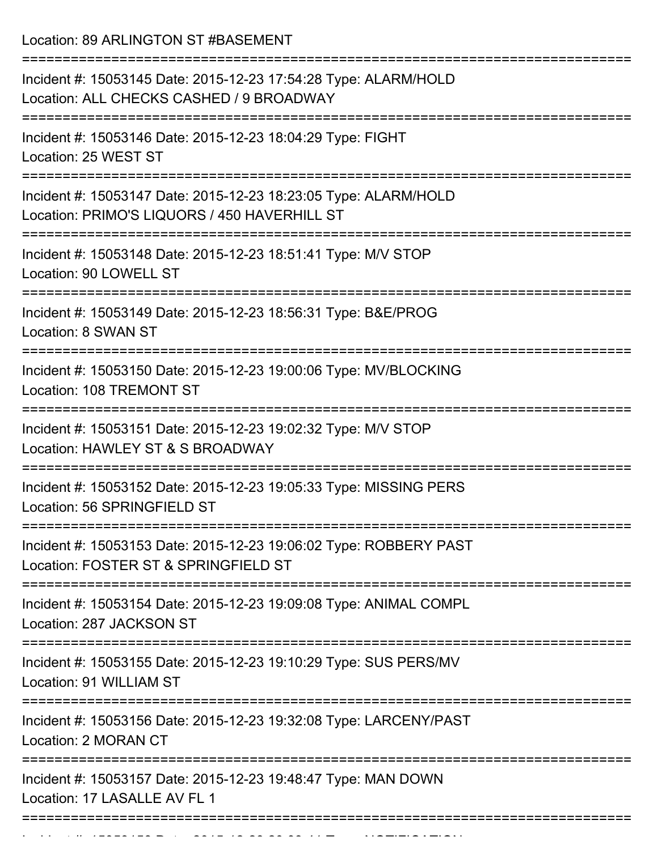Location: 89 ARLINGTON ST #BASEMENT

| Incident #: 15053145 Date: 2015-12-23 17:54:28 Type: ALARM/HOLD<br>Location: ALL CHECKS CASHED / 9 BROADWAY     |
|-----------------------------------------------------------------------------------------------------------------|
| Incident #: 15053146 Date: 2015-12-23 18:04:29 Type: FIGHT<br>Location: 25 WEST ST                              |
| Incident #: 15053147 Date: 2015-12-23 18:23:05 Type: ALARM/HOLD<br>Location: PRIMO'S LIQUORS / 450 HAVERHILL ST |
| Incident #: 15053148 Date: 2015-12-23 18:51:41 Type: M/V STOP<br>Location: 90 LOWELL ST                         |
| Incident #: 15053149 Date: 2015-12-23 18:56:31 Type: B&E/PROG<br>Location: 8 SWAN ST                            |
| Incident #: 15053150 Date: 2015-12-23 19:00:06 Type: MV/BLOCKING<br>Location: 108 TREMONT ST                    |
| Incident #: 15053151 Date: 2015-12-23 19:02:32 Type: M/V STOP<br>Location: HAWLEY ST & S BROADWAY               |
| Incident #: 15053152 Date: 2015-12-23 19:05:33 Type: MISSING PERS<br>Location: 56 SPRINGFIELD ST                |
| Incident #: 15053153 Date: 2015-12-23 19:06:02 Type: ROBBERY PAST<br>Location: FOSTER ST & SPRINGFIELD ST       |
| Incident #: 15053154 Date: 2015-12-23 19:09:08 Type: ANIMAL COMPL<br>Location: 287 JACKSON ST                   |
| Incident #: 15053155 Date: 2015-12-23 19:10:29 Type: SUS PERS/MV<br>Location: 91 WILLIAM ST                     |
| Incident #: 15053156 Date: 2015-12-23 19:32:08 Type: LARCENY/PAST<br>Location: 2 MORAN CT                       |
| Incident #: 15053157 Date: 2015-12-23 19:48:47 Type: MAN DOWN<br>Location: 17 LASALLE AV FL 1                   |
|                                                                                                                 |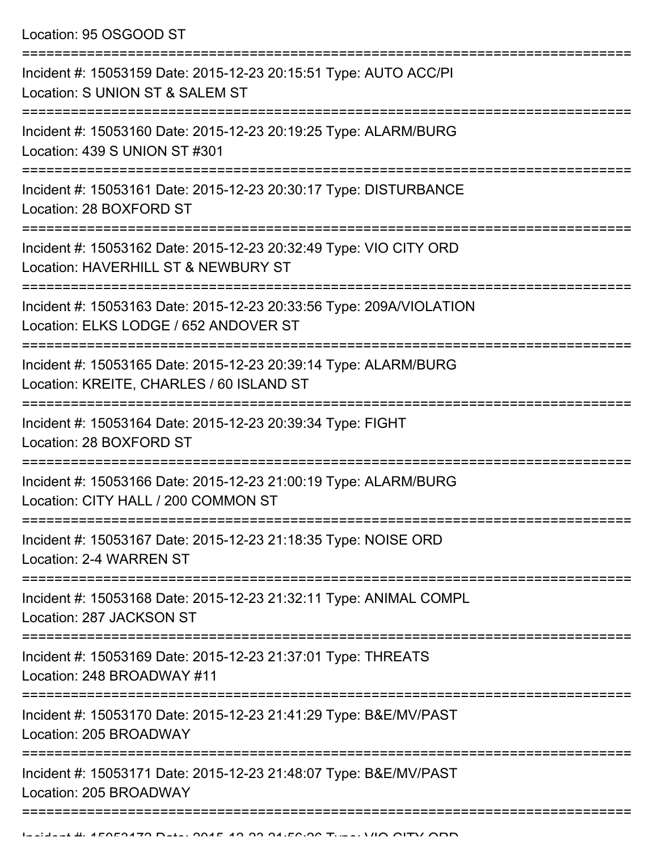Location: 95 OSGOOD ST

| Incident #: 15053159 Date: 2015-12-23 20:15:51 Type: AUTO ACC/PI<br>Location: S UNION ST & SALEM ST          |
|--------------------------------------------------------------------------------------------------------------|
| Incident #: 15053160 Date: 2015-12-23 20:19:25 Type: ALARM/BURG<br>Location: 439 S UNION ST #301             |
| Incident #: 15053161 Date: 2015-12-23 20:30:17 Type: DISTURBANCE<br>Location: 28 BOXFORD ST                  |
| Incident #: 15053162 Date: 2015-12-23 20:32:49 Type: VIO CITY ORD<br>Location: HAVERHILL ST & NEWBURY ST     |
| Incident #: 15053163 Date: 2015-12-23 20:33:56 Type: 209A/VIOLATION<br>Location: ELKS LODGE / 652 ANDOVER ST |
| Incident #: 15053165 Date: 2015-12-23 20:39:14 Type: ALARM/BURG<br>Location: KREITE, CHARLES / 60 ISLAND ST  |
| Incident #: 15053164 Date: 2015-12-23 20:39:34 Type: FIGHT<br>Location: 28 BOXFORD ST                        |
| Incident #: 15053166 Date: 2015-12-23 21:00:19 Type: ALARM/BURG<br>Location: CITY HALL / 200 COMMON ST       |
| Incident #: 15053167 Date: 2015-12-23 21:18:35 Type: NOISE ORD<br>Location: 2-4 WARREN ST                    |
| Incident #: 15053168 Date: 2015-12-23 21:32:11 Type: ANIMAL COMPL<br>Location: 287 JACKSON ST                |
| Incident #: 15053169 Date: 2015-12-23 21:37:01 Type: THREATS<br>Location: 248 BROADWAY #11                   |
| Incident #: 15053170 Date: 2015-12-23 21:41:29 Type: B&E/MV/PAST<br>Location: 205 BROADWAY                   |
| Incident #: 15053171 Date: 2015-12-23 21:48:07 Type: B&E/MV/PAST<br>Location: 205 BROADWAY                   |
|                                                                                                              |